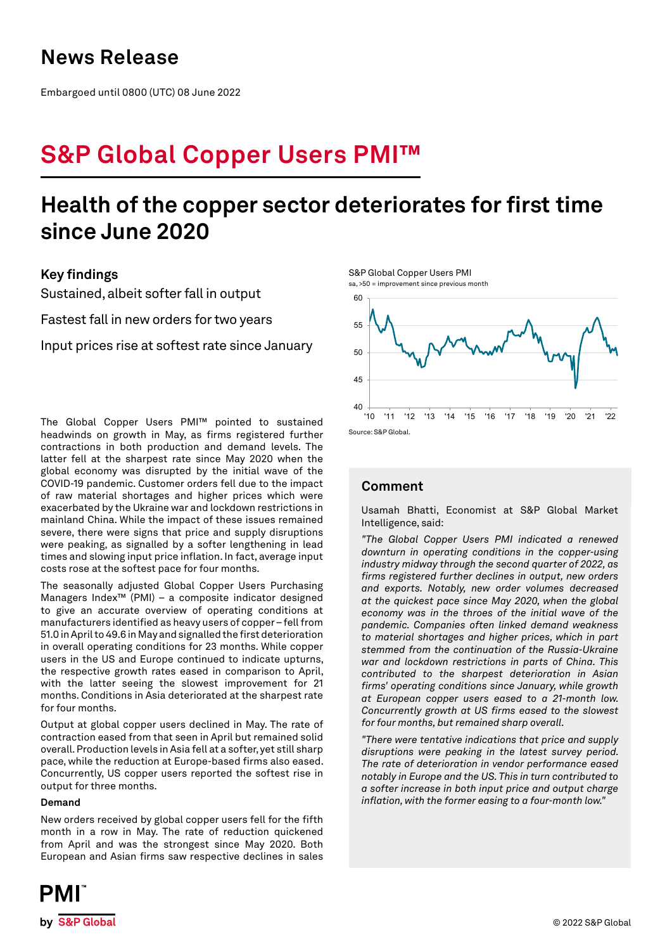## **News Release**

Embargoed until 0800 (UTC) 08 June 2022

# **S&P Global Copper Users PMI™**

## **Health of the copper sector deteriorates for first time since June 2020**

## **Key findings**

Sustained, albeit softer fall in output

Fastest fall in new orders for two years

Input prices rise at softest rate since January

The Global Copper Users PMI™ pointed to sustained headwinds on growth in May, as firms registered further contractions in both production and demand levels. The latter fell at the sharpest rate since May 2020 when the global economy was disrupted by the initial wave of the COVID-19 pandemic. Customer orders fell due to the impact of raw material shortages and higher prices which were exacerbated by the Ukraine war and lockdown restrictions in mainland China. While the impact of these issues remained severe, there were signs that price and supply disruptions were peaking, as signalled by a softer lengthening in lead times and slowing input price inflation. In fact, average input costs rose at the softest pace for four months.

The seasonally adjusted Global Copper Users Purchasing Managers Index™ (PMI) – a composite indicator designed to give an accurate overview of operating conditions at manufacturers identified as heavy users of copper – fell from 51.0 in April to 49.6 in May and signalled the first deterioration in overall operating conditions for 23 months. While copper users in the US and Europe continued to indicate upturns, the respective growth rates eased in comparison to April, with the latter seeing the slowest improvement for 21 months. Conditions in Asia deteriorated at the sharpest rate for four months.

Output at global copper users declined in May. The rate of contraction eased from that seen in April but remained solid overall. Production levels in Asia fell at a softer, yet still sharp pace, while the reduction at Europe-based firms also eased. Concurrently, US copper users reported the softest rise in output for three months.

#### **Demand**

New orders received by global copper users fell for the fifth month in a row in May. The rate of reduction quickened from April and was the strongest since May 2020. Both European and Asian firms saw respective declines in sales





### **Comment**

Usamah Bhatti, Economist at S&P Global Market Intelligence, said:

*"The Global Copper Users PMI indicated a renewed downturn in operating conditions in the copper-using industry midway through the second quarter of 2022, as firms registered further declines in output, new orders and exports. Notably, new order volumes decreased at the quickest pace since May 2020, when the global economy was in the throes of the initial wave of the pandemic. Companies often linked demand weakness to material shortages and higher prices, which in part stemmed from the continuation of the Russia-Ukraine war and lockdown restrictions in parts of China. This contributed to the sharpest deterioration in Asian firms' operating conditions since January, while growth at European copper users eased to a 21-month low. Concurrently growth at US firms eased to the slowest for four months, but remained sharp overall.*

*"There were tentative indications that price and supply disruptions were peaking in the latest survey period. The rate of deterioration in vendor performance eased notably in Europe and the US. This in turn contributed to a softer increase in both input price and output charge inflation, with the former easing to a four-month low."*